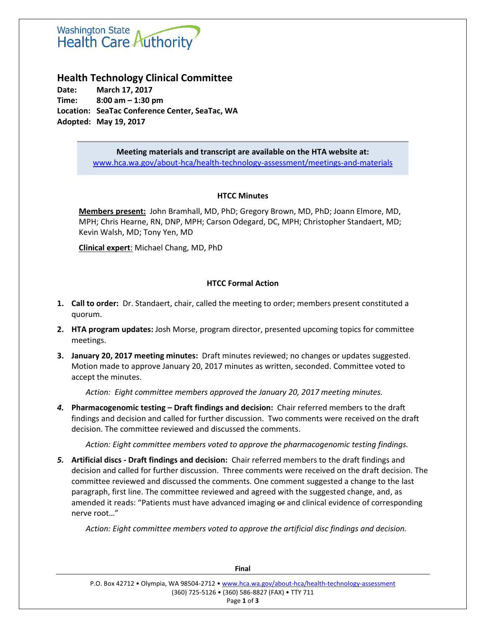# **Washington State** Health Care Authority

## **Health Technology Clinical Committee**

**Date: March 17, 2017 Time: 8:00 am – 1:30 pm Location: SeaTac Conference Center, SeaTac, WA Adopted: May 19, 2017**

> **Meeting materials and transcript are available on the HTA website at:** [www.hca.wa.gov/about-hca/health-technology-assessment/meetings-and-materials](http://www.hca.wa.gov/about-hca/health-technology-assessment/meetings-and-materials)

## **HTCC Minutes**

**Members present:** John Bramhall, MD, PhD; Gregory Brown, MD, PhD; Joann Elmore, MD, MPH; Chris Hearne, RN, DNP, MPH; Carson Odegard, DC, MPH; Christopher Standaert, MD; Kevin Walsh, MD; Tony Yen, MD

**Clinical expert**: Michael Chang, MD, PhD

## **HTCC Formal Action**

- **1. Call to order:** Dr. Standaert, chair, called the meeting to order; members present constituted a quorum.
- **2. HTA program updates:** Josh Morse, program director, presented upcoming topics for committee meetings.
- **3. January 20, 2017 meeting minutes:** Draft minutes reviewed; no changes or updates suggested. Motion made to approve January 20, 2017 minutes as written, seconded. Committee voted to accept the minutes.

*Action: Eight committee members approved the January 20, 2017 meeting minutes.*

*4.* **Pharmacogenomic testing – Draft findings and decision:** Chair referred members to the draft findings and decision and called for further discussion. Two comments were received on the draft decision. The committee reviewed and discussed the comments.

*Action: Eight committee members voted to approve the pharmacogenomic testing findings.*

*5.* **Artificial discs - Draft findings and decision:** Chair referred members to the draft findings and decision and called for further discussion. Three comments were received on the draft decision. The committee reviewed and discussed the comments. One comment suggested a change to the last paragraph, first line. The committee reviewed and agreed with the suggested change, and, as amended it reads: "Patients must have advanced imaging or and clinical evidence of corresponding nerve root…"

*Action: Eight committee members voted to approve the artificial disc findings and decision.*

| P.O. Box 42712 • Olympia, WA 98504-2712 • www.hca.wa.gov/about-hca/health-technology-assessment |  |  |  |
|-------------------------------------------------------------------------------------------------|--|--|--|
| (360) 725-5126 • (360) 586-8827 (FAX) • TTY 711                                                 |  |  |  |
| Page 1 of 3                                                                                     |  |  |  |

**Final**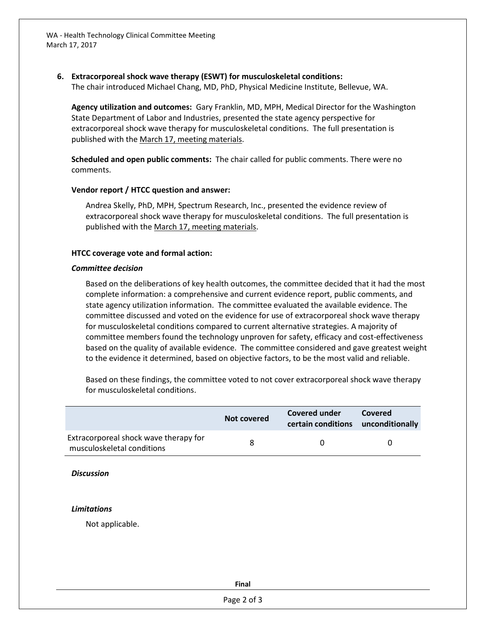WA - Health Technology Clinical Committee Meeting March 17, 2017

## **6. Extracorporeal shock wave therapy (ESWT) for musculoskeletal conditions:**

The chair introduced Michael Chang, MD, PhD, Physical Medicine Institute, Bellevue, WA.

**Agency utilization and outcomes:** Gary Franklin, MD, MPH, Medical Director for the Washington State Department of Labor and Industries, presented the state agency perspective for extracorporeal shock wave therapy for musculoskeletal conditions. The full presentation is published with the [March 17, meeting materials.](https://www.hca.wa.gov/about-hca/health-technology-assessment/meetings-and-materials)

**Scheduled and open public comments:** The chair called for public comments. There were no comments.

#### **Vendor report / HTCC question and answer:**

Andrea Skelly, PhD, MPH, Spectrum Research, Inc., presented the evidence review of extracorporeal shock wave therapy for musculoskeletal conditions. The full presentation is published with the [March 17, meeting materials.](http://www.hca.wa.gov/about-hca/health-technology-assessment/meetings-and-materials)

#### **HTCC coverage vote and formal action:**

#### *Committee decision*

Based on the deliberations of key health outcomes, the committee decided that it had the most complete information: a comprehensive and current evidence report, public comments, and state agency utilization information. The committee evaluated the available evidence. The committee discussed and voted on the evidence for use of extracorporeal shock wave therapy for musculoskeletal conditions compared to current alternative strategies. A majority of committee members found the technology unproven for safety, efficacy and cost-effectiveness based on the quality of available evidence. The committee considered and gave greatest weight to the evidence it determined, based on objective factors, to be the most valid and reliable.

Based on these findings, the committee voted to not cover extracorporeal shock wave therapy for musculoskeletal conditions.

|                                                                     | Not covered | Covered under<br>certain conditions unconditionally | Covered |
|---------------------------------------------------------------------|-------------|-----------------------------------------------------|---------|
| Extracorporeal shock wave therapy for<br>musculoskeletal conditions |             |                                                     |         |

#### *Discussion*

#### *Limitations*

Not applicable.